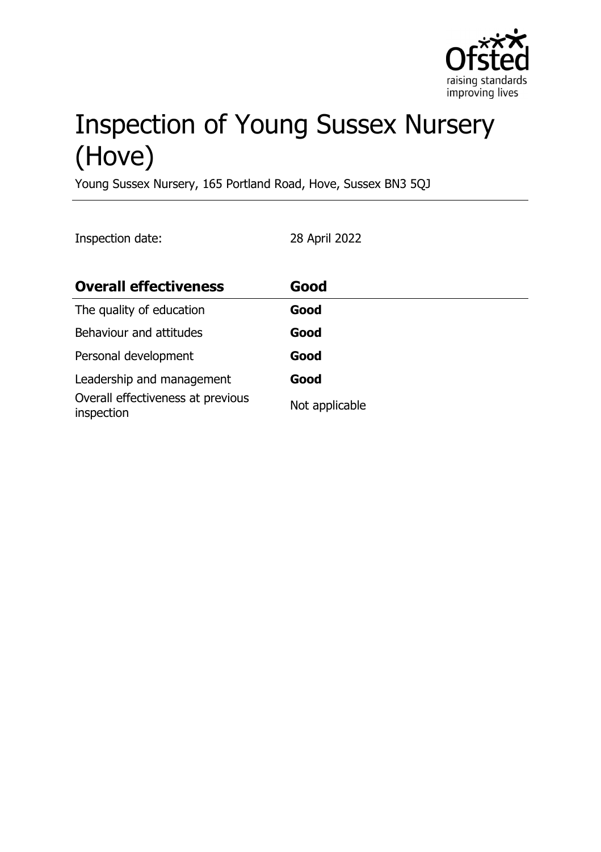

# Inspection of Young Sussex Nursery (Hove)

Young Sussex Nursery, 165 Portland Road, Hove, Sussex BN3 5QJ

Inspection date: 28 April 2022

| <b>Overall effectiveness</b>                    | Good           |
|-------------------------------------------------|----------------|
| The quality of education                        | Good           |
| Behaviour and attitudes                         | Good           |
| Personal development                            | Good           |
| Leadership and management                       | Good           |
| Overall effectiveness at previous<br>inspection | Not applicable |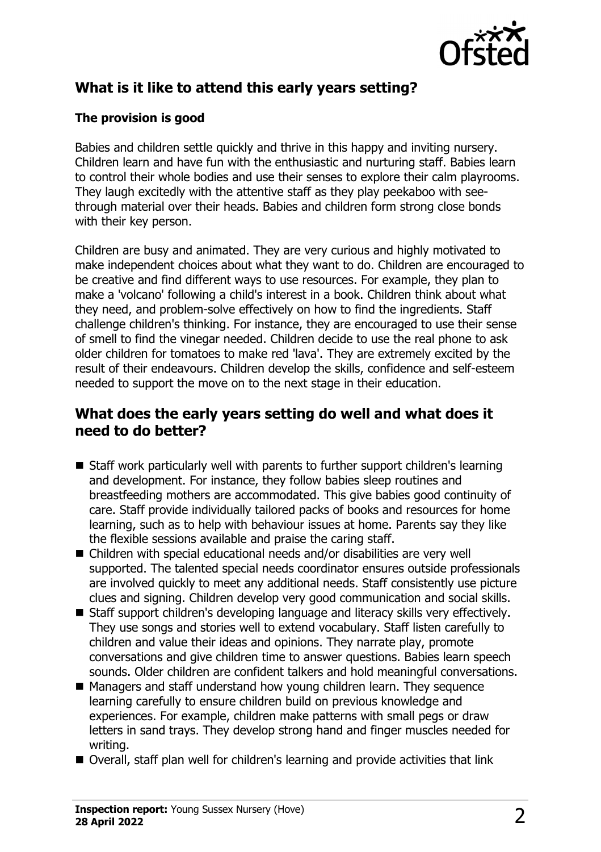

# **What is it like to attend this early years setting?**

## **The provision is good**

Babies and children settle quickly and thrive in this happy and inviting nursery. Children learn and have fun with the enthusiastic and nurturing staff. Babies learn to control their whole bodies and use their senses to explore their calm playrooms. They laugh excitedly with the attentive staff as they play peekaboo with seethrough material over their heads. Babies and children form strong close bonds with their key person.

Children are busy and animated. They are very curious and highly motivated to make independent choices about what they want to do. Children are encouraged to be creative and find different ways to use resources. For example, they plan to make a 'volcano' following a child's interest in a book. Children think about what they need, and problem-solve effectively on how to find the ingredients. Staff challenge children's thinking. For instance, they are encouraged to use their sense of smell to find the vinegar needed. Children decide to use the real phone to ask older children for tomatoes to make red 'lava'. They are extremely excited by the result of their endeavours. Children develop the skills, confidence and self-esteem needed to support the move on to the next stage in their education.

## **What does the early years setting do well and what does it need to do better?**

- Staff work particularly well with parents to further support children's learning and development. For instance, they follow babies sleep routines and breastfeeding mothers are accommodated. This give babies good continuity of care. Staff provide individually tailored packs of books and resources for home learning, such as to help with behaviour issues at home. Parents say they like the flexible sessions available and praise the caring staff.
- Children with special educational needs and/or disabilities are very well supported. The talented special needs coordinator ensures outside professionals are involved quickly to meet any additional needs. Staff consistently use picture clues and signing. Children develop very good communication and social skills.
- Staff support children's developing language and literacy skills very effectively. They use songs and stories well to extend vocabulary. Staff listen carefully to children and value their ideas and opinions. They narrate play, promote conversations and give children time to answer questions. Babies learn speech sounds. Older children are confident talkers and hold meaningful conversations.
- Managers and staff understand how young children learn. They sequence learning carefully to ensure children build on previous knowledge and experiences. For example, children make patterns with small pegs or draw letters in sand trays. They develop strong hand and finger muscles needed for writing.
- Overall, staff plan well for children's learning and provide activities that link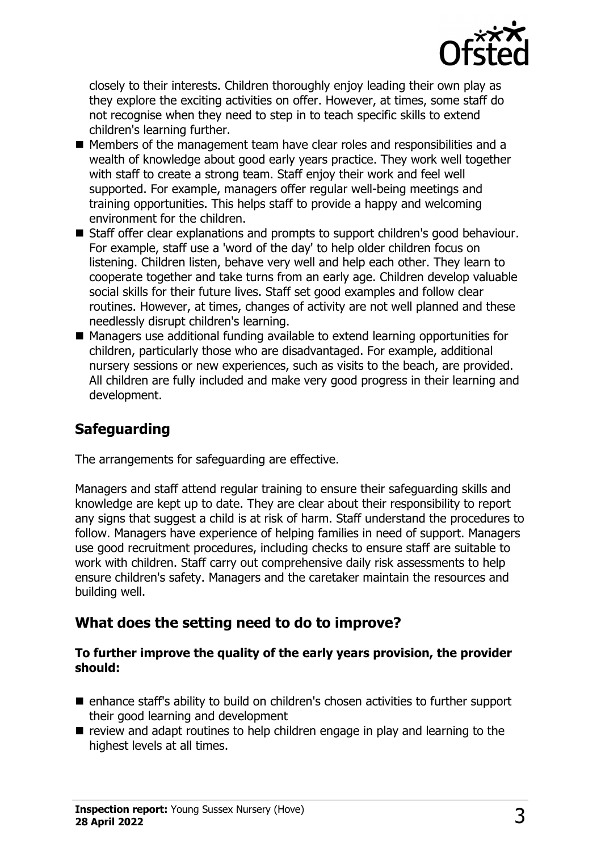

closely to their interests. Children thoroughly enjoy leading their own play as they explore the exciting activities on offer. However, at times, some staff do not recognise when they need to step in to teach specific skills to extend children's learning further.

- Members of the management team have clear roles and responsibilities and a wealth of knowledge about good early years practice. They work well together with staff to create a strong team. Staff enjoy their work and feel well supported. For example, managers offer regular well-being meetings and training opportunities. This helps staff to provide a happy and welcoming environment for the children.
- Staff offer clear explanations and prompts to support children's good behaviour. For example, staff use a 'word of the day' to help older children focus on listening. Children listen, behave very well and help each other. They learn to cooperate together and take turns from an early age. Children develop valuable social skills for their future lives. Staff set good examples and follow clear routines. However, at times, changes of activity are not well planned and these needlessly disrupt children's learning.
- Managers use additional funding available to extend learning opportunities for children, particularly those who are disadvantaged. For example, additional nursery sessions or new experiences, such as visits to the beach, are provided. All children are fully included and make very good progress in their learning and development.

## **Safeguarding**

The arrangements for safeguarding are effective.

Managers and staff attend regular training to ensure their safeguarding skills and knowledge are kept up to date. They are clear about their responsibility to report any signs that suggest a child is at risk of harm. Staff understand the procedures to follow. Managers have experience of helping families in need of support. Managers use good recruitment procedures, including checks to ensure staff are suitable to work with children. Staff carry out comprehensive daily risk assessments to help ensure children's safety. Managers and the caretaker maintain the resources and building well.

## **What does the setting need to do to improve?**

#### **To further improve the quality of the early years provision, the provider should:**

- enhance staff's ability to build on children's chosen activities to further support their good learning and development
- $\blacksquare$  review and adapt routines to help children engage in play and learning to the highest levels at all times.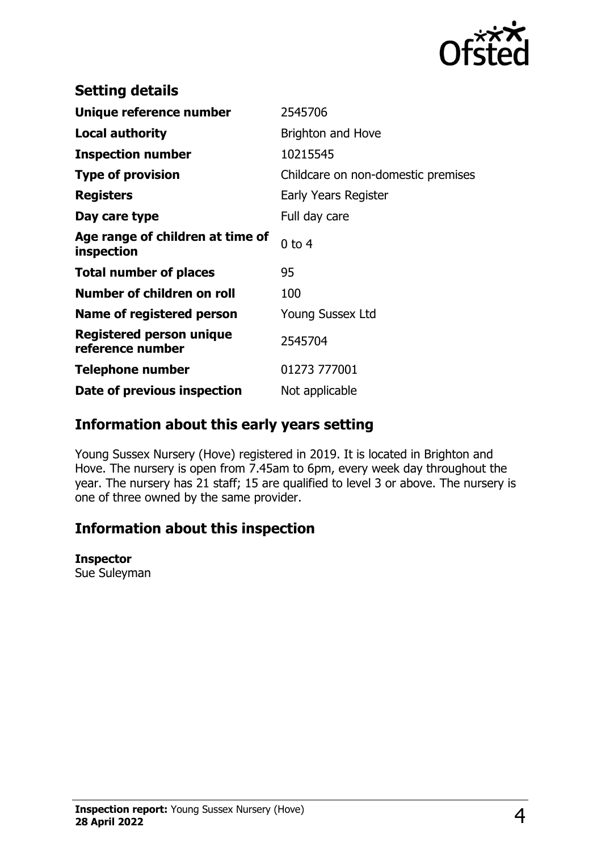

| <b>Setting details</b>                              |                                    |
|-----------------------------------------------------|------------------------------------|
| Unique reference number                             | 2545706                            |
| <b>Local authority</b>                              | Brighton and Hove                  |
| <b>Inspection number</b>                            | 10215545                           |
| <b>Type of provision</b>                            | Childcare on non-domestic premises |
| <b>Registers</b>                                    | Early Years Register               |
| Day care type                                       | Full day care                      |
| Age range of children at time of<br>inspection      | $0$ to $4$                         |
| <b>Total number of places</b>                       | 95                                 |
| Number of children on roll                          | 100                                |
| Name of registered person                           | <b>Young Sussex Ltd</b>            |
| <b>Registered person unique</b><br>reference number | 2545704                            |
| <b>Telephone number</b>                             | 01273 777001                       |
| Date of previous inspection                         | Not applicable                     |

## **Information about this early years setting**

Young Sussex Nursery (Hove) registered in 2019. It is located in Brighton and Hove. The nursery is open from 7.45am to 6pm, every week day throughout the year. The nursery has 21 staff; 15 are qualified to level 3 or above. The nursery is one of three owned by the same provider.

## **Information about this inspection**

#### **Inspector**

Sue Suleyman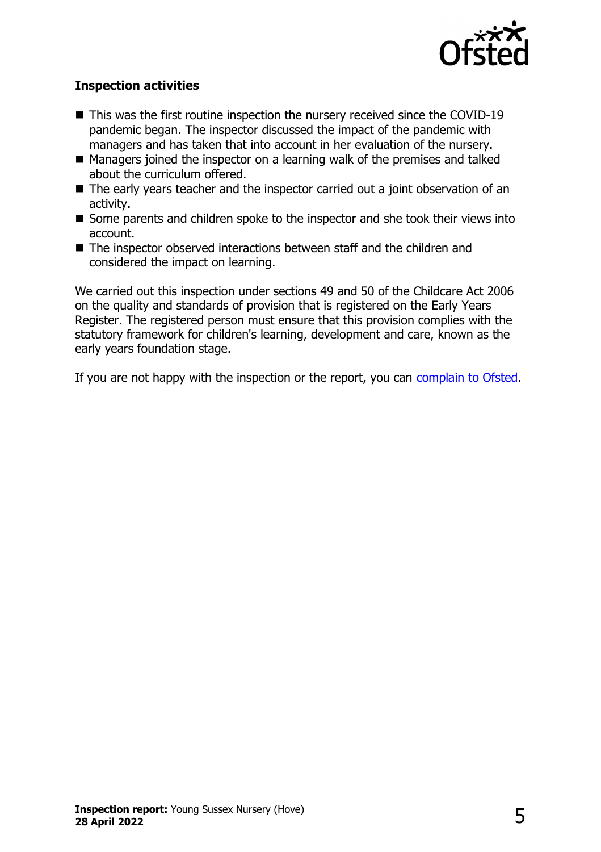

### **Inspection activities**

- $\blacksquare$  This was the first routine inspection the nursery received since the COVID-19 pandemic began. The inspector discussed the impact of the pandemic with managers and has taken that into account in her evaluation of the nursery.
- Managers joined the inspector on a learning walk of the premises and talked about the curriculum offered.
- $\blacksquare$  The early years teacher and the inspector carried out a joint observation of an activity.
- $\blacksquare$  Some parents and children spoke to the inspector and she took their views into account.
- $\blacksquare$  The inspector observed interactions between staff and the children and considered the impact on learning.

We carried out this inspection under sections 49 and 50 of the Childcare Act 2006 on the quality and standards of provision that is registered on the Early Years Register. The registered person must ensure that this provision complies with the statutory framework for children's learning, development and care, known as the early years foundation stage.

If you are not happy with the inspection or the report, you can [complain to Ofsted](http://www.gov.uk/complain-ofsted-report).